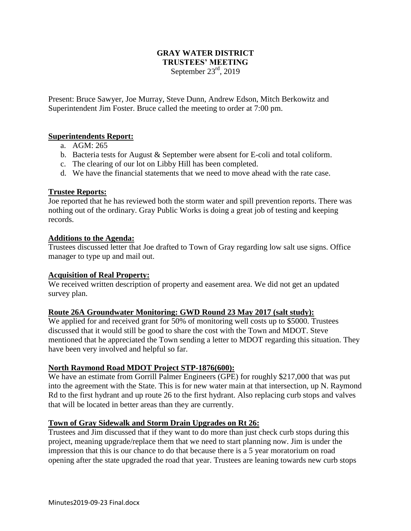### **GRAY WATER DISTRICT TRUSTEES' MEETING** September  $23<sup>rd</sup>$ , 2019

Present: Bruce Sawyer, Joe Murray, Steve Dunn, Andrew Edson, Mitch Berkowitz and Superintendent Jim Foster. Bruce called the meeting to order at 7:00 pm.

### **Superintendents Report:**

- a. AGM: 265
- b. Bacteria tests for August & September were absent for E-coli and total coliform.
- c. The clearing of our lot on Libby Hill has been completed.
- d. We have the financial statements that we need to move ahead with the rate case.

### **Trustee Reports:**

Joe reported that he has reviewed both the storm water and spill prevention reports. There was nothing out of the ordinary. Gray Public Works is doing a great job of testing and keeping records.

### **Additions to the Agenda:**

Trustees discussed letter that Joe drafted to Town of Gray regarding low salt use signs. Office manager to type up and mail out.

### **Acquisition of Real Property:**

We received written description of property and easement area. We did not get an updated survey plan.

### **Route 26A Groundwater Monitoring: GWD Round 23 May 2017 (salt study):**

We applied for and received grant for 50% of monitoring well costs up to \$5000. Trustees discussed that it would still be good to share the cost with the Town and MDOT. Steve mentioned that he appreciated the Town sending a letter to MDOT regarding this situation. They have been very involved and helpful so far.

### **North Raymond Road MDOT Project STP-1876(600):**

We have an estimate from Gorrill Palmer Engineers (GPE) for roughly \$217,000 that was put into the agreement with the State. This is for new water main at that intersection, up N. Raymond Rd to the first hydrant and up route 26 to the first hydrant. Also replacing curb stops and valves that will be located in better areas than they are currently.

### **Town of Gray Sidewalk and Storm Drain Upgrades on Rt 26:**

Trustees and Jim discussed that if they want to do more than just check curb stops during this project, meaning upgrade/replace them that we need to start planning now. Jim is under the impression that this is our chance to do that because there is a 5 year moratorium on road opening after the state upgraded the road that year. Trustees are leaning towards new curb stops